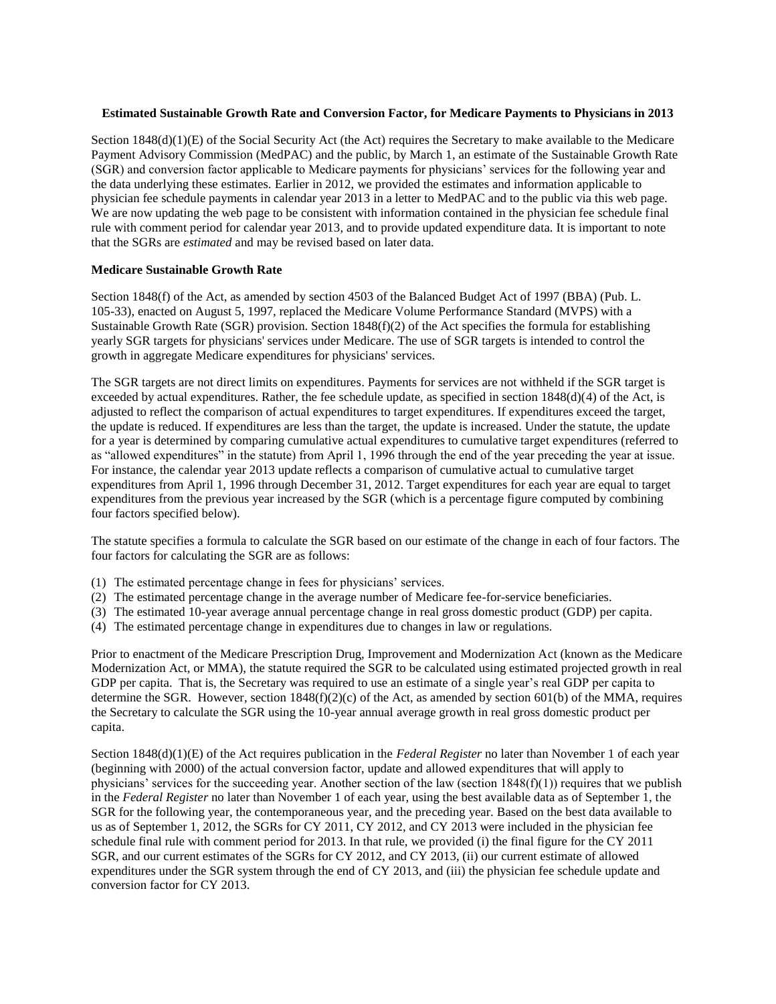## **Estimated Sustainable Growth Rate and Conversion Factor, for Medicare Payments to Physicians in 2013**

Section 1848(d)(1)(E) of the Social Security Act (the Act) requires the Secretary to make available to the Medicare Payment Advisory Commission (MedPAC) and the public, by March 1, an estimate of the Sustainable Growth Rate (SGR) and conversion factor applicable to Medicare payments for physicians' services for the following year and the data underlying these estimates. Earlier in 2012, we provided the estimates and information applicable to physician fee schedule payments in calendar year 2013 in a letter to MedPAC and to the public via this web page. We are now updating the web page to be consistent with information contained in the physician fee schedule final rule with comment period for calendar year 2013, and to provide updated expenditure data. It is important to note that the SGRs are *estimated* and may be revised based on later data.

# **Medicare Sustainable Growth Rate**

Section 1848(f) of the Act, as amended by section 4503 of the Balanced Budget Act of 1997 (BBA) (Pub. L. 105-33), enacted on August 5, 1997, replaced the Medicare Volume Performance Standard (MVPS) with a Sustainable Growth Rate (SGR) provision. Section 1848(f)(2) of the Act specifies the formula for establishing yearly SGR targets for physicians' services under Medicare. The use of SGR targets is intended to control the growth in aggregate Medicare expenditures for physicians' services.

The SGR targets are not direct limits on expenditures. Payments for services are not withheld if the SGR target is exceeded by actual expenditures. Rather, the fee schedule update, as specified in section  $1848(d)(4)$  of the Act, is adjusted to reflect the comparison of actual expenditures to target expenditures. If expenditures exceed the target, the update is reduced. If expenditures are less than the target, the update is increased. Under the statute, the update for a year is determined by comparing cumulative actual expenditures to cumulative target expenditures (referred to as "allowed expenditures" in the statute) from April 1, 1996 through the end of the year preceding the year at issue. For instance, the calendar year 2013 update reflects a comparison of cumulative actual to cumulative target expenditures from April 1, 1996 through December 31, 2012. Target expenditures for each year are equal to target expenditures from the previous year increased by the SGR (which is a percentage figure computed by combining four factors specified below).

The statute specifies a formula to calculate the SGR based on our estimate of the change in each of four factors. The four factors for calculating the SGR are as follows:

- (1) The estimated percentage change in fees for physicians' services.
- (2) The estimated percentage change in the average number of Medicare fee-for-service beneficiaries.
- (3) The estimated 10-year average annual percentage change in real gross domestic product (GDP) per capita.
- (4) The estimated percentage change in expenditures due to changes in law or regulations.

Prior to enactment of the Medicare Prescription Drug, Improvement and Modernization Act (known as the Medicare Modernization Act, or MMA), the statute required the SGR to be calculated using estimated projected growth in real GDP per capita. That is, the Secretary was required to use an estimate of a single year's real GDP per capita to determine the SGR. However, section 1848(f)(2)(c) of the Act, as amended by section 601(b) of the MMA, requires the Secretary to calculate the SGR using the 10-year annual average growth in real gross domestic product per capita.

Section 1848(d)(1)(E) of the Act requires publication in the *Federal Register* no later than November 1 of each year (beginning with 2000) of the actual conversion factor, update and allowed expenditures that will apply to physicians' services for the succeeding year. Another section of the law (section  $1848(f)(1)$ ) requires that we publish in the *Federal Register* no later than November 1 of each year, using the best available data as of September 1, the SGR for the following year, the contemporaneous year, and the preceding year. Based on the best data available to us as of September 1, 2012, the SGRs for CY 2011, CY 2012, and CY 2013 were included in the physician fee schedule final rule with comment period for 2013. In that rule, we provided (i) the final figure for the CY 2011 SGR, and our current estimates of the SGRs for CY 2012, and CY 2013, (ii) our current estimate of allowed expenditures under the SGR system through the end of CY 2013, and (iii) the physician fee schedule update and conversion factor for CY 2013.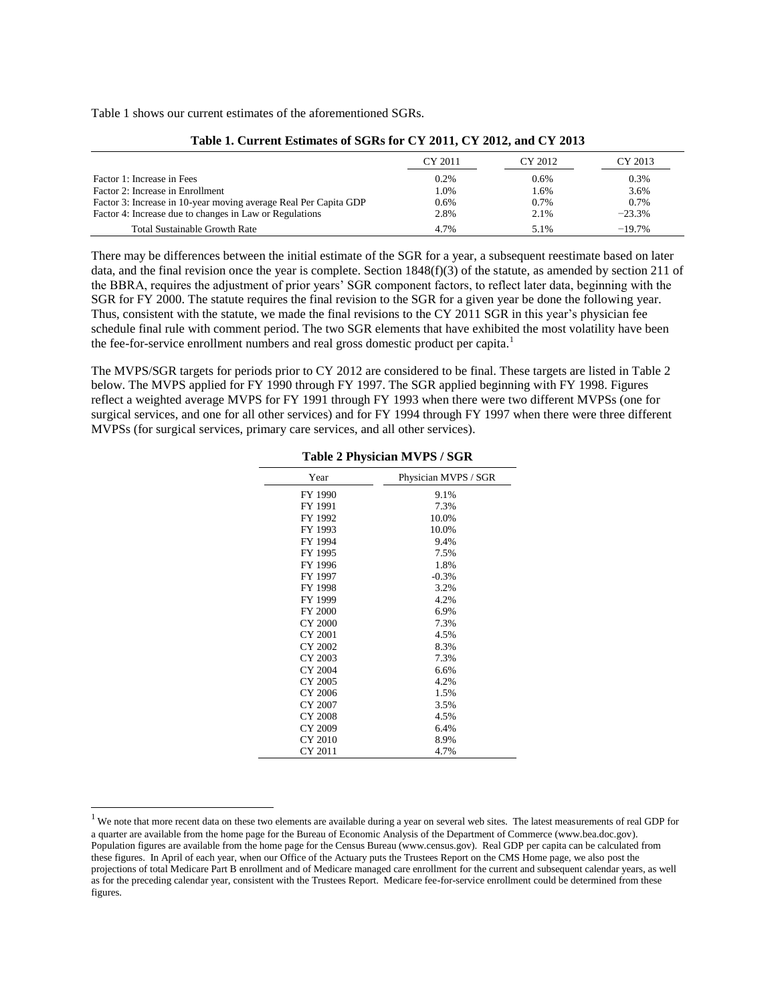Table 1 shows our current estimates of the aforementioned SGRs.

 $\overline{a}$ 

|                                                                  | CY 2011 | CY 2012 | CY 2013  |
|------------------------------------------------------------------|---------|---------|----------|
| Factor 1: Increase in Fees                                       | 0.2%    | 0.6%    | 0.3%     |
| Factor 2: Increase in Enrollment                                 | 1.0%    | 1.6%    | 3.6%     |
| Factor 3: Increase in 10-year moving average Real Per Capita GDP | 0.6%    | 0.7%    | 0.7%     |
| Factor 4: Increase due to changes in Law or Regulations          | 2.8%    | 2.1%    | $-23.3%$ |
| <b>Total Sustainable Growth Rate</b>                             | 4.7%    | 5.1%    | $-19.7%$ |

#### **Table 1. Current Estimates of SGRs for CY 2011, CY 2012, and CY 2013**

There may be differences between the initial estimate of the SGR for a year, a subsequent reestimate based on later data, and the final revision once the year is complete. Section 1848(f)(3) of the statute, as amended by section 211 of the BBRA, requires the adjustment of prior years' SGR component factors, to reflect later data, beginning with the SGR for FY 2000. The statute requires the final revision to the SGR for a given year be done the following year. Thus, consistent with the statute, we made the final revisions to the CY 2011 SGR in this year's physician fee schedule final rule with comment period. The two SGR elements that have exhibited the most volatility have been the fee-for-service enrollment numbers and real gross domestic product per capita.<sup>1</sup>

The MVPS/SGR targets for periods prior to CY 2012 are considered to be final. These targets are listed in Table 2 below. The MVPS applied for FY 1990 through FY 1997. The SGR applied beginning with FY 1998. Figures reflect a weighted average MVPS for FY 1991 through FY 1993 when there were two different MVPSs (one for surgical services, and one for all other services) and for FY 1994 through FY 1997 when there were three different MVPSs (for surgical services, primary care services, and all other services).

| Year           | Physician MVPS / SGR |
|----------------|----------------------|
| FY 1990        | 9.1%                 |
| FY 1991        | 7.3%                 |
| FY 1992        | 10.0%                |
| FY 1993        | 10.0%                |
| FY 1994        | 9.4%                 |
| FY 1995        | 7.5%                 |
| FY 1996        | 1.8%                 |
| FY 1997        | $-0.3%$              |
| FY 1998        | 3.2%                 |
| FY 1999        | 4.2%                 |
| <b>FY 2000</b> | 6.9%                 |
| CY 2000        | 7.3%                 |
| CY 2001        | 4.5%                 |
| CY 2002        | 8.3%                 |
| CY 2003        | 7.3%                 |
| CY 2004        | 6.6%                 |
| CY 2005        | 4.2%                 |
| CY 2006        | 1.5%                 |
| CY 2007        | 3.5%                 |
| CY 2008        | 4.5%                 |
| CY 2009        | 6.4%                 |
| CY 2010        | 8.9%                 |
| CY 2011        | 4.7%                 |

**Table 2 Physician MVPS / SGR** 

<sup>&</sup>lt;sup>1</sup> We note that more recent data on these two elements are available during a year on several web sites. The latest measurements of real GDP for a quarter are available from the home page for the Bureau of Economic Analysis of the Department of Commerce (www.bea.doc.gov). Population figures are available from the home page for the Census Bureau (www.census.gov). Real GDP per capita can be calculated from these figures. In April of each year, when our Office of the Actuary puts the Trustees Report on the CMS Home page, we also post the projections of total Medicare Part B enrollment and of Medicare managed care enrollment for the current and subsequent calendar years, as well as for the preceding calendar year, consistent with the Trustees Report. Medicare fee-for-service enrollment could be determined from these figures.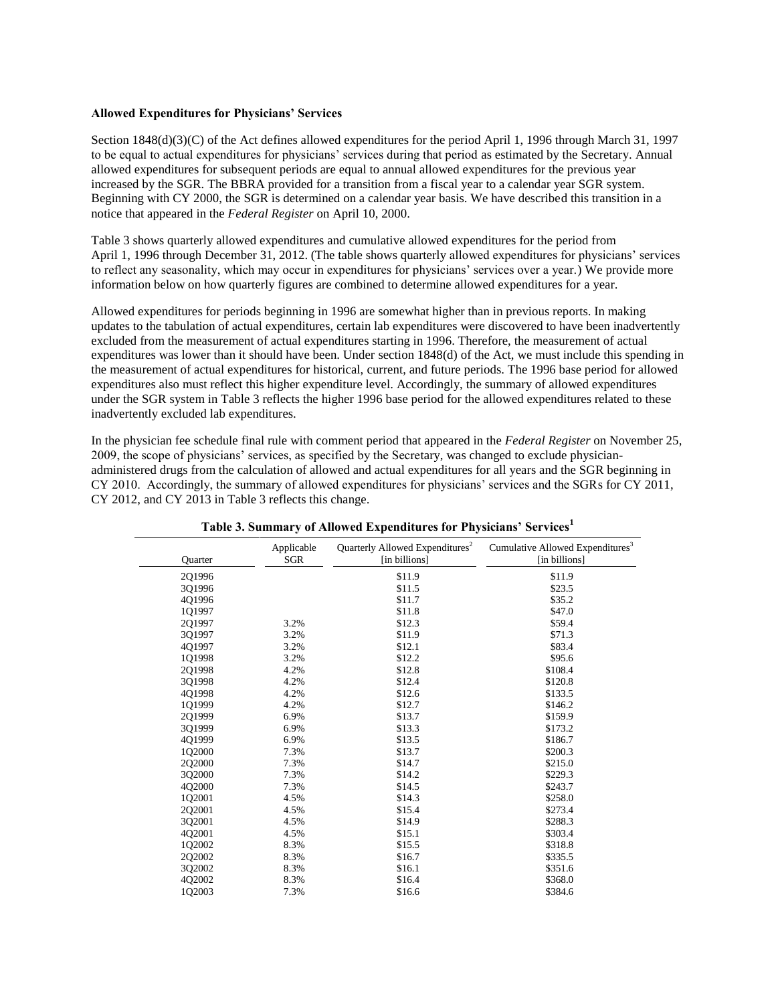## **Allowed Expenditures for Physicians' Services**

Section 1848(d)(3)(C) of the Act defines allowed expenditures for the period April 1, 1996 through March 31, 1997 to be equal to actual expenditures for physicians' services during that period as estimated by the Secretary. Annual allowed expenditures for subsequent periods are equal to annual allowed expenditures for the previous year increased by the SGR. The BBRA provided for a transition from a fiscal year to a calendar year SGR system. Beginning with CY 2000, the SGR is determined on a calendar year basis. We have described this transition in a notice that appeared in the *Federal Register* on April 10, 2000.

Table 3 shows quarterly allowed expenditures and cumulative allowed expenditures for the period from April 1, 1996 through December 31, 2012. (The table shows quarterly allowed expenditures for physicians' services to reflect any seasonality, which may occur in expenditures for physicians' services over a year.) We provide more information below on how quarterly figures are combined to determine allowed expenditures for a year.

Allowed expenditures for periods beginning in 1996 are somewhat higher than in previous reports. In making updates to the tabulation of actual expenditures, certain lab expenditures were discovered to have been inadvertently excluded from the measurement of actual expenditures starting in 1996. Therefore, the measurement of actual expenditures was lower than it should have been. Under section 1848(d) of the Act, we must include this spending in the measurement of actual expenditures for historical, current, and future periods. The 1996 base period for allowed expenditures also must reflect this higher expenditure level. Accordingly, the summary of allowed expenditures under the SGR system in Table 3 reflects the higher 1996 base period for the allowed expenditures related to these inadvertently excluded lab expenditures.

In the physician fee schedule final rule with comment period that appeared in the *Federal Register* on November 25, 2009, the scope of physicians' services, as specified by the Secretary, was changed to exclude physicianadministered drugs from the calculation of allowed and actual expenditures for all years and the SGR beginning in CY 2010. Accordingly, the summary of allowed expenditures for physicians' services and the SGRs for CY 2011, CY 2012, and CY 2013 in Table 3 reflects this change.

| Ouarter | Applicable<br>SGR | Quarterly Allowed Expenditures <sup>2</sup><br>[in billions] | Cumulative Allowed Expenditures <sup>3</sup><br>[in billions] |
|---------|-------------------|--------------------------------------------------------------|---------------------------------------------------------------|
| 2Q1996  |                   | \$11.9                                                       | \$11.9                                                        |
| 301996  |                   | \$11.5                                                       | \$23.5                                                        |
| 4Q1996  |                   | \$11.7                                                       | \$35.2                                                        |
| 1Q1997  |                   | \$11.8                                                       | \$47.0                                                        |
| 2Q1997  | 3.2%              | \$12.3                                                       | \$59.4                                                        |
| 3Q1997  | 3.2%              | \$11.9                                                       | \$71.3                                                        |
| 4Q1997  | 3.2%              | \$12.1                                                       | \$83.4                                                        |
| 1Q1998  | 3.2%              | \$12.2                                                       | \$95.6                                                        |
| 2Q1998  | 4.2%              | \$12.8                                                       | \$108.4                                                       |
| 301998  | 4.2%              | \$12.4                                                       | \$120.8                                                       |
| 4Q1998  | 4.2%              | \$12.6                                                       | \$133.5                                                       |
| 1Q1999  | 4.2%              | \$12.7                                                       | \$146.2                                                       |
| 2Q1999  | 6.9%              | \$13.7                                                       | \$159.9                                                       |
| 3Q1999  | 6.9%              | \$13.3                                                       | \$173.2                                                       |
| 401999  | 6.9%              | \$13.5                                                       | \$186.7                                                       |
| 1Q2000  | 7.3%              | \$13.7                                                       | \$200.3                                                       |
| 2Q2000  | 7.3%              | \$14.7                                                       | \$215.0                                                       |
| 3Q2000  | 7.3%              | \$14.2                                                       | \$229.3                                                       |
| 4Q2000  | 7.3%              | \$14.5                                                       | \$243.7                                                       |
| 1Q2001  | 4.5%              | \$14.3                                                       | \$258.0                                                       |
| 2Q2001  | 4.5%              | \$15.4                                                       | \$273.4                                                       |
| 3Q2001  | 4.5%              | \$14.9                                                       | \$288.3                                                       |
| 402001  | 4.5%              | \$15.1                                                       | \$303.4                                                       |
| 1Q2002  | 8.3%              | \$15.5                                                       | \$318.8                                                       |
| 2Q2002  | 8.3%              | \$16.7                                                       | \$335.5                                                       |
| 3Q2002  | 8.3%              | \$16.1                                                       | \$351.6                                                       |
| 4Q2002  | 8.3%              | \$16.4                                                       | \$368.0                                                       |
| 1Q2003  | 7.3%              | \$16.6                                                       | \$384.6                                                       |

**Table 3. Summary of Allowed Expenditures for Physicians' Services[1](#page-3-0)**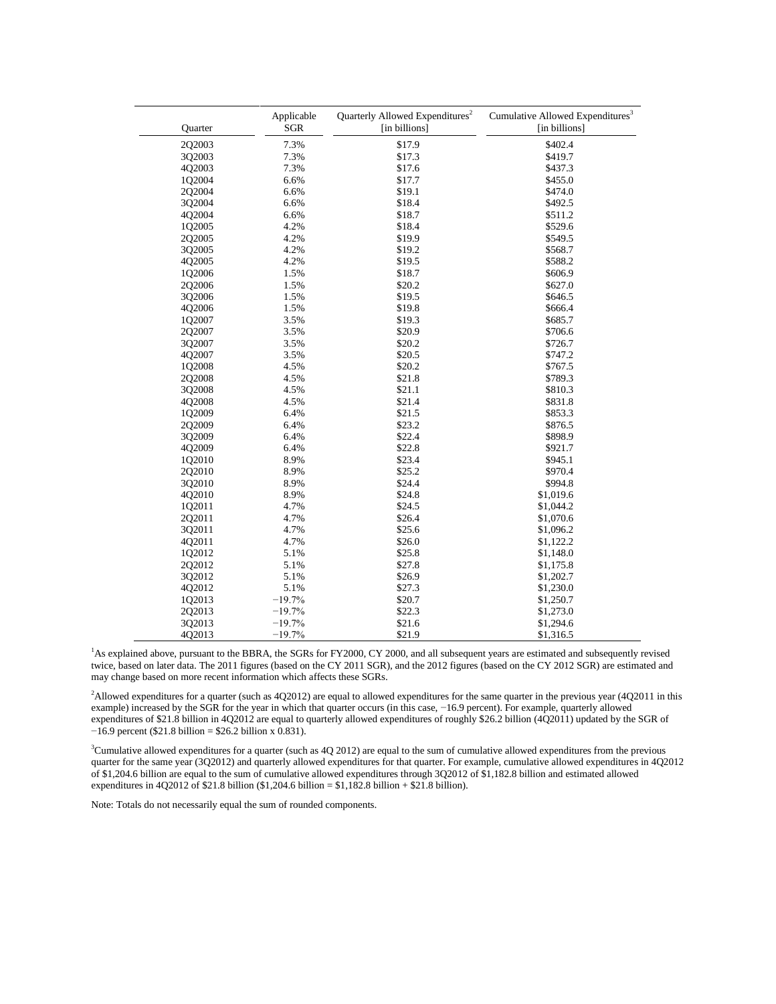| Quarter | Applicable<br><b>SGR</b> | Quarterly Allowed Expenditures <sup>2</sup><br>[in billions] | Cumulative Allowed Expenditures <sup>3</sup><br>[in billions] |
|---------|--------------------------|--------------------------------------------------------------|---------------------------------------------------------------|
| 2Q2003  | 7.3%                     | \$17.9                                                       | \$402.4                                                       |
| 3Q2003  | 7.3%                     | \$17.3                                                       | \$419.7                                                       |
| 4Q2003  | 7.3%                     | \$17.6                                                       | \$437.3                                                       |
| 1Q2004  | 6.6%                     | \$17.7                                                       | \$455.0                                                       |
| 2Q2004  | 6.6%                     | \$19.1                                                       | \$474.0                                                       |
| 3Q2004  | 6.6%                     | \$18.4                                                       | \$492.5                                                       |
| 4Q2004  | 6.6%                     | \$18.7                                                       | \$511.2                                                       |
| 1Q2005  | 4.2%                     | \$18.4                                                       | \$529.6                                                       |
| 2Q2005  | 4.2%                     | \$19.9                                                       | \$549.5                                                       |
| 3Q2005  | 4.2%                     | \$19.2                                                       | \$568.7                                                       |
| 4Q2005  | 4.2%                     | \$19.5                                                       | \$588.2                                                       |
| 1Q2006  | 1.5%                     | \$18.7                                                       | \$606.9                                                       |
| 202006  | 1.5%                     | \$20.2                                                       | \$627.0                                                       |
| 3Q2006  | 1.5%                     | \$19.5                                                       | \$646.5                                                       |
| 4Q2006  | 1.5%                     | \$19.8                                                       | \$666.4                                                       |
| 1Q2007  | 3.5%                     | \$19.3                                                       | \$685.7                                                       |
| 202007  | 3.5%                     | \$20.9                                                       | \$706.6                                                       |
| 3Q2007  | 3.5%                     | \$20.2                                                       | \$726.7                                                       |
| 4Q2007  | 3.5%                     | \$20.5                                                       | \$747.2                                                       |
| 1Q2008  | 4.5%                     | \$20.2                                                       | \$767.5                                                       |
| 2Q2008  | 4.5%                     | \$21.8                                                       | \$789.3                                                       |
| 3Q2008  | 4.5%                     | \$21.1                                                       | \$810.3                                                       |
| 4Q2008  | 4.5%                     | \$21.4                                                       | \$831.8                                                       |
| 1Q2009  | 6.4%                     | \$21.5                                                       | \$853.3                                                       |
| 2Q2009  | 6.4%                     | \$23.2                                                       | \$876.5                                                       |
| 3Q2009  | 6.4%                     | \$22.4                                                       | \$898.9                                                       |
| 4Q2009  | 6.4%                     | \$22.8                                                       | \$921.7                                                       |
| 1Q2010  | 8.9%                     | \$23.4                                                       | \$945.1                                                       |
| 2Q2010  | 8.9%                     | \$25.2                                                       | \$970.4                                                       |
| 3Q2010  | 8.9%                     | \$24.4                                                       | \$994.8                                                       |
| 4Q2010  | 8.9%                     | \$24.8                                                       | \$1,019.6                                                     |
| 1Q2011  | 4.7%                     | \$24.5                                                       | \$1,044.2                                                     |
| 2Q2011  | 4.7%                     | \$26.4                                                       | \$1,070.6                                                     |
| 3Q2011  | 4.7%                     | \$25.6                                                       | \$1,096.2                                                     |
| 4Q2011  | 4.7%                     | \$26.0                                                       | \$1,122.2                                                     |
| 1Q2012  | 5.1%                     | \$25.8                                                       | \$1,148.0                                                     |
| 202012  | 5.1%                     | \$27.8                                                       | \$1,175.8                                                     |
| 3Q2012  | 5.1%                     | \$26.9                                                       | \$1,202.7                                                     |
| 4Q2012  | 5.1%                     | \$27.3                                                       | \$1,230.0                                                     |
| 1Q2013  | $-19.7%$                 | \$20.7                                                       | \$1,250.7                                                     |
| 2Q2013  | $-19.7%$                 | \$22.3                                                       | \$1,273.0                                                     |
| 3Q2013  | $-19.7%$                 | \$21.6                                                       | \$1,294.6                                                     |
| 4Q2013  | $-19.7%$                 | \$21.9                                                       | \$1,316.5                                                     |

<span id="page-3-0"></span><sup>1</sup>As explained above, pursuant to the BBRA, the SGRs for FY2000, CY 2000, and all subsequent years are estimated and subsequently revised twice, based on later data. The 2011 figures (based on the CY 2011 SGR), and the 2012 figures (based on the CY 2012 SGR) are estimated and may change based on more recent information which affects these SGRs.

<span id="page-3-1"></span><sup>2</sup>Allowed expenditures for a quarter (such as  $4Q2012$ ) are equal to allowed expenditures for the same quarter in the previous year  $(4Q2011)$  in this example) increased by the SGR for the year in which that quarter occurs (in this case, −16.9 percent). For example, quarterly allowed expenditures of \$21.8 billion in 4Q2012 are equal to quarterly allowed expenditures of roughly \$26.2 billion (4Q2011) updated by the SGR of  $-16.9$  percent (\$21.8 billion = \$26.2 billion x 0.831).

<span id="page-3-2"></span> $3$ Cumulative allowed expenditures for a quarter (such as 4Q 2012) are equal to the sum of cumulative allowed expenditures from the previous quarter for the same year (3Q2012) and quarterly allowed expenditures for that quarter. For example, cumulative allowed expenditures in 4Q2012 of \$1,204.6 billion are equal to the sum of cumulative allowed expenditures through 3Q2012 of \$1,182.8 billion and estimated allowed expenditures in  $4Q2012$  of \$21.8 billion (\$1,204.6 billion = \$1,182.8 billion + \$21.8 billion).

Note: Totals do not necessarily equal the sum of rounded components.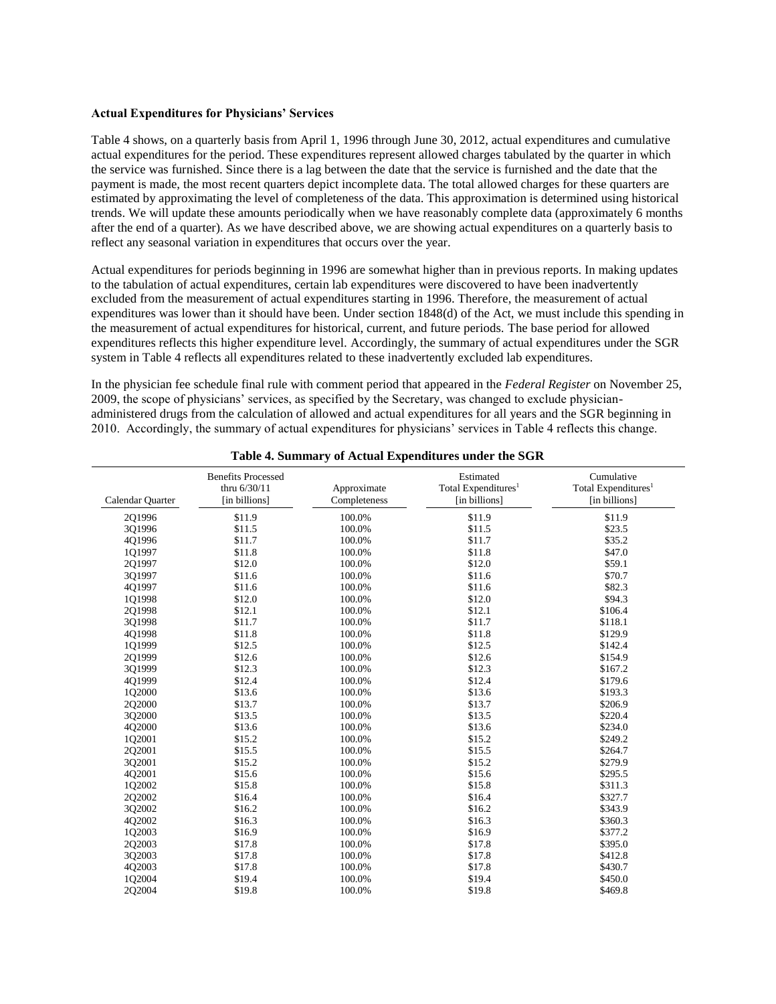#### **Actual Expenditures for Physicians' Services**

Table 4 shows, on a quarterly basis from April 1, 1996 through June 30, 2012, actual expenditures and cumulative actual expenditures for the period. These expenditures represent allowed charges tabulated by the quarter in which the service was furnished. Since there is a lag between the date that the service is furnished and the date that the payment is made, the most recent quarters depict incomplete data. The total allowed charges for these quarters are estimated by approximating the level of completeness of the data. This approximation is determined using historical trends. We will update these amounts periodically when we have reasonably complete data (approximately 6 months after the end of a quarter). As we have described above, we are showing actual expenditures on a quarterly basis to reflect any seasonal variation in expenditures that occurs over the year.

Actual expenditures for periods beginning in 1996 are somewhat higher than in previous reports. In making updates to the tabulation of actual expenditures, certain lab expenditures were discovered to have been inadvertently excluded from the measurement of actual expenditures starting in 1996. Therefore, the measurement of actual expenditures was lower than it should have been. Under section 1848(d) of the Act, we must include this spending in the measurement of actual expenditures for historical, current, and future periods. The base period for allowed expenditures reflects this higher expenditure level. Accordingly, the summary of actual expenditures under the SGR system in Table 4 reflects all expenditures related to these inadvertently excluded lab expenditures.

In the physician fee schedule final rule with comment period that appeared in the *Federal Register* on November 25, 2009, the scope of physicians' services, as specified by the Secretary, was changed to exclude physicianadministered drugs from the calculation of allowed and actual expenditures for all years and the SGR beginning in 2010. Accordingly, the summary of actual expenditures for physicians' services in Table 4 reflects this change.

| Calendar Quarter | <b>Benefits Processed</b><br>thru $6/30/11$<br>[in billions] | Approximate<br>Completeness | Estimated<br>Total Expenditures <sup>1</sup><br>[in billions] | Cumulative<br>Total Expenditures <sup>1</sup><br>[in billions] |
|------------------|--------------------------------------------------------------|-----------------------------|---------------------------------------------------------------|----------------------------------------------------------------|
| 201996           | \$11.9                                                       | 100.0%                      | \$11.9                                                        | \$11.9                                                         |
| 3Q1996           | \$11.5                                                       | 100.0%                      | \$11.5                                                        | \$23.5                                                         |
| 4Q1996           | \$11.7                                                       | 100.0%                      | \$11.7                                                        | \$35.2                                                         |
| 1Q1997           | \$11.8                                                       | 100.0%                      | \$11.8                                                        | \$47.0                                                         |
| 2Q1997           | \$12.0                                                       | 100.0%                      | \$12.0                                                        | \$59.1                                                         |
| 3Q1997           | \$11.6                                                       | 100.0%                      | \$11.6                                                        | \$70.7                                                         |
| 4Q1997           | \$11.6                                                       | 100.0%                      | \$11.6                                                        | \$82.3                                                         |
| 1Q1998           | \$12.0                                                       | 100.0%                      | \$12.0                                                        | \$94.3                                                         |
| 2Q1998           | \$12.1                                                       | 100.0%                      | \$12.1                                                        | \$106.4                                                        |
| 3Q1998           | \$11.7                                                       | 100.0%                      | \$11.7                                                        | \$118.1                                                        |
| 4Q1998           | \$11.8                                                       | 100.0%                      | \$11.8                                                        | \$129.9                                                        |
| 1Q1999           | \$12.5                                                       | 100.0%                      | \$12.5                                                        | \$142.4                                                        |
| 2Q1999           | \$12.6                                                       | 100.0%                      | \$12.6                                                        | \$154.9                                                        |
| 3Q1999           | \$12.3                                                       | 100.0%                      | \$12.3                                                        | \$167.2                                                        |
| 4Q1999           | \$12.4                                                       | 100.0%                      | \$12.4                                                        | \$179.6                                                        |
| 102000           | \$13.6                                                       | 100.0%                      | \$13.6                                                        | \$193.3                                                        |
| 202000           | \$13.7                                                       | 100.0%                      | \$13.7                                                        | \$206.9                                                        |
| 3Q2000           | \$13.5                                                       | 100.0%                      | \$13.5                                                        | \$220.4                                                        |
| 4Q2000           | \$13.6                                                       | 100.0%                      | \$13.6                                                        | \$234.0                                                        |
| 1Q2001           | \$15.2                                                       | 100.0%                      | \$15.2                                                        | \$249.2                                                        |
| 2Q2001           | \$15.5                                                       | 100.0%                      | \$15.5                                                        | \$264.7                                                        |
| 3Q2001           | \$15.2                                                       | 100.0%                      | \$15.2                                                        | \$279.9                                                        |
| 4Q2001           | \$15.6                                                       | 100.0%                      | \$15.6                                                        | \$295.5                                                        |
| 1Q2002           | \$15.8                                                       | 100.0%                      | \$15.8                                                        | \$311.3                                                        |
| 2Q2002           | \$16.4                                                       | 100.0%                      | \$16.4                                                        | \$327.7                                                        |
| 3Q2002           | \$16.2                                                       | 100.0%                      | \$16.2                                                        | \$343.9                                                        |
| 4Q2002           | \$16.3                                                       | 100.0%                      | \$16.3                                                        | \$360.3                                                        |
| 1Q2003           | \$16.9                                                       | 100.0%                      | \$16.9                                                        | \$377.2                                                        |
| 2Q2003           | \$17.8                                                       | 100.0%                      | \$17.8                                                        | \$395.0                                                        |
| 3Q2003           | \$17.8                                                       | 100.0%                      | \$17.8                                                        | \$412.8                                                        |
| 4Q2003           | \$17.8                                                       | 100.0%                      | \$17.8                                                        | \$430.7                                                        |
| 1Q2004           | \$19.4                                                       | 100.0%                      | \$19.4                                                        | \$450.0                                                        |
| 2Q2004           | \$19.8                                                       | 100.0%                      | \$19.8                                                        | \$469.8                                                        |

**Table 4. Summary of Actual Expenditures under the SGR**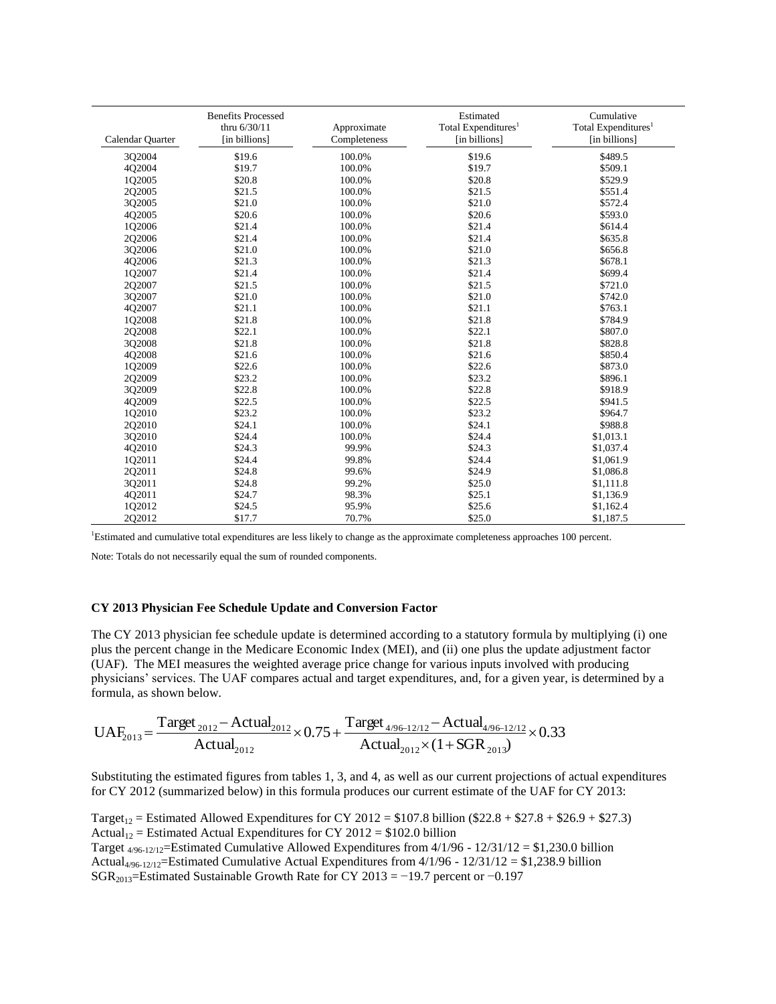| Calendar Quarter | <b>Benefits Processed</b><br>thru $6/30/11$<br>[in billions] | Approximate<br>Completeness | Estimated<br>Total Expenditures <sup>1</sup><br>[in billions] | Cumulative<br>Total Expenditures <sup>1</sup><br>[in billions] |
|------------------|--------------------------------------------------------------|-----------------------------|---------------------------------------------------------------|----------------------------------------------------------------|
| 3Q2004           | \$19.6                                                       | 100.0%                      | \$19.6                                                        | \$489.5                                                        |
| 4Q2004           | \$19.7                                                       | 100.0%                      | \$19.7                                                        | \$509.1                                                        |
| 1Q2005           | \$20.8                                                       | 100.0%                      | \$20.8                                                        | \$529.9                                                        |
| 2Q2005           | \$21.5                                                       | 100.0%                      | \$21.5                                                        | \$551.4                                                        |
| 3Q2005           | \$21.0                                                       | 100.0%                      | \$21.0                                                        | \$572.4                                                        |
| 4Q2005           | \$20.6                                                       | 100.0%                      | \$20.6                                                        | \$593.0                                                        |
| 1Q2006           | \$21.4                                                       | 100.0%                      | \$21.4                                                        | \$614.4                                                        |
| 2Q2006           | \$21.4                                                       | 100.0%                      | \$21.4                                                        | \$635.8                                                        |
| 3Q2006           | \$21.0                                                       | 100.0%                      | \$21.0                                                        | \$656.8                                                        |
| 4Q2006           | \$21.3                                                       | 100.0%                      | \$21.3                                                        | \$678.1                                                        |
| 1Q2007           | \$21.4                                                       | 100.0%                      | \$21.4                                                        | \$699.4                                                        |
| 2Q2007           | \$21.5                                                       | 100.0%                      | \$21.5                                                        | \$721.0                                                        |
| 3Q2007           | \$21.0                                                       | 100.0%                      | \$21.0                                                        | \$742.0                                                        |
| 402007           | \$21.1                                                       | 100.0%                      | \$21.1                                                        | \$763.1                                                        |
| 102008           | \$21.8                                                       | 100.0%                      | \$21.8                                                        | \$784.9                                                        |
| 202008           | \$22.1                                                       | 100.0%                      | \$22.1                                                        | \$807.0                                                        |
| 3Q2008           | \$21.8                                                       | 100.0%                      | \$21.8                                                        | \$828.8                                                        |
| 4O2008           | \$21.6                                                       | 100.0%                      | \$21.6                                                        | \$850.4                                                        |
| 1Q2009           | \$22.6                                                       | 100.0%                      | \$22.6                                                        | \$873.0                                                        |
| 2Q2009           | \$23.2                                                       | 100.0%                      | \$23.2                                                        | \$896.1                                                        |
| 302009           | \$22.8                                                       | 100.0%                      | \$22.8                                                        | \$918.9                                                        |
| 4Q2009           | \$22.5                                                       | 100.0%                      | \$22.5                                                        | \$941.5                                                        |
| 1Q2010           | \$23.2                                                       | 100.0%                      | \$23.2                                                        | \$964.7                                                        |
| 2Q2010           | \$24.1                                                       | 100.0%                      | \$24.1                                                        | \$988.8                                                        |
| 3Q2010           | \$24.4                                                       | 100.0%                      | \$24.4                                                        | \$1,013.1                                                      |
| 4Q2010           | \$24.3                                                       | 99.9%                       | \$24.3                                                        | \$1,037.4                                                      |
| 1Q2011           | \$24.4                                                       | 99.8%                       | \$24.4                                                        | \$1,061.9                                                      |
| 2Q2011           | \$24.8                                                       | 99.6%                       | \$24.9                                                        | \$1,086.8                                                      |
| 3Q2011           | \$24.8                                                       | 99.2%                       | \$25.0                                                        | \$1,111.8                                                      |
| 4Q2011           | \$24.7                                                       | 98.3%                       | \$25.1                                                        | \$1,136.9                                                      |
| 1Q2012           | \$24.5                                                       | 95.9%                       | \$25.6                                                        | \$1,162.4                                                      |
| 2Q2012           | \$17.7                                                       | 70.7%                       | \$25.0                                                        | \$1,187.5                                                      |

<span id="page-5-0"></span><sup>1</sup>Estimated and cumulative total expenditures are less likely to change as the approximate completeness approaches 100 percent.

Note: Totals do not necessarily equal the sum of rounded components.

## **CY 2013 Physician Fee Schedule Update and Conversion Factor**

The CY 2013 physician fee schedule update is determined according to a statutory formula by multiplying (i) one plus the percent change in the Medicare Economic Index (MEI), and (ii) one plus the update adjustment factor (UAF). The MEI measures the weighted average price change for various inputs involved with producing physicians' services. The UAF compares actual and target expenditures, and, for a given year, is determined by a formula, as shown below.

$$
UAF_{2013} = \frac{Target_{2012} - Actual_{2012}}{Actual_{2012}} \times 0.75 + \frac{Target_{4/96-12/12} - Actual_{4/96-12/12}}{Actual_{2012} \times (1 + SGR_{2013})} \times 0.33
$$

Substituting the estimated figures from tables 1, 3, and 4, as well as our current projections of actual expenditures for CY 2012 (summarized below) in this formula produces our current estimate of the UAF for CY 2013:

Target<sub>12</sub> = Estimated Allowed Expenditures for CY 2012 = \$107.8 billion (\$22.8 + \$27.8 + \$26.9 + \$27.3) Actual<sub>12</sub> = Estimated Actual Expenditures for CY 2012 = \$102.0 billion Target 4/96-12/12=Estimated Cumulative Allowed Expenditures from 4/1/96 - 12/31/12 = \$1,230.0 billion Actual<sub>4/96-12/12</sub>=Estimated Cumulative Actual Expenditures from  $4/1/96 - 12/31/12 = $1,238.9$  billion SGR<sub>2013</sub>=Estimated Sustainable Growth Rate for CY 2013 = −19.7 percent or −0.197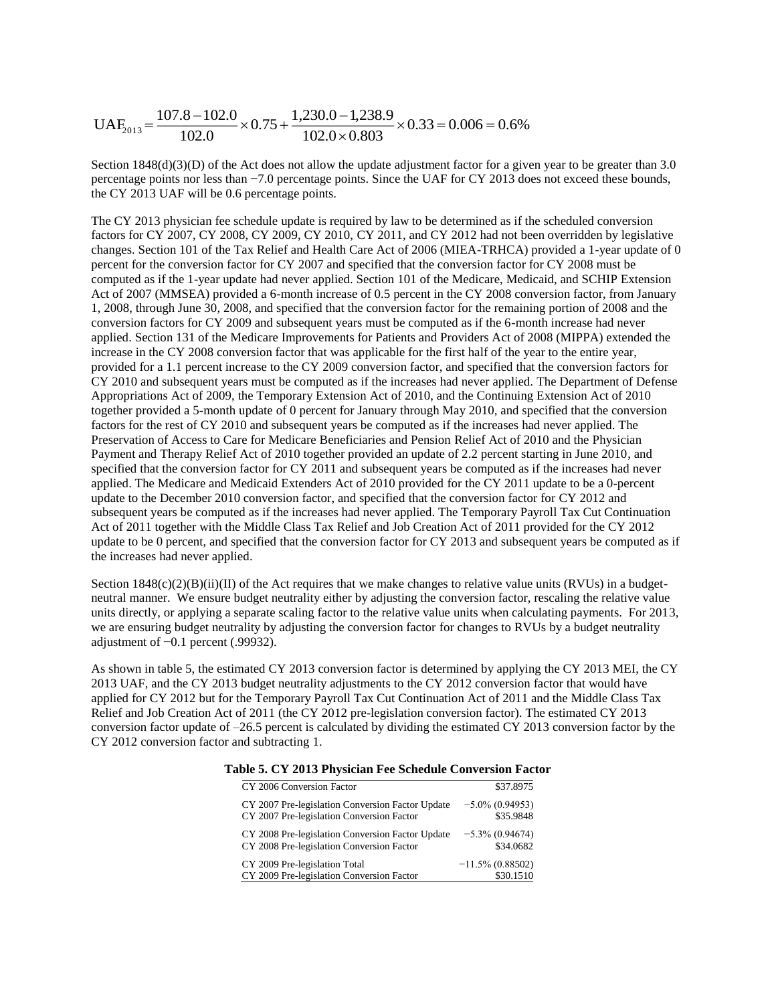$$
UAF_{2013} = \frac{107.8 - 102.0}{102.0} \times 0.75 + \frac{1,230.0 - 1,238.9}{102.0 \times 0.803} \times 0.33 = 0.006 = 0.6\%
$$

Section  $1848(d)(3)(D)$  of the Act does not allow the update adjustment factor for a given year to be greater than 3.0 percentage points nor less than −7.0 percentage points. Since the UAF for CY 2013 does not exceed these bounds, the CY 2013 UAF will be 0.6 percentage points.

The CY 2013 physician fee schedule update is required by law to be determined as if the scheduled conversion factors for CY 2007, CY 2008, CY 2009, CY 2010, CY 2011, and CY 2012 had not been overridden by legislative changes. Section 101 of the Tax Relief and Health Care Act of 2006 (MIEA-TRHCA) provided a 1-year update of 0 percent for the conversion factor for CY 2007 and specified that the conversion factor for CY 2008 must be computed as if the 1-year update had never applied. Section 101 of the Medicare, Medicaid, and SCHIP Extension Act of 2007 (MMSEA) provided a 6-month increase of 0.5 percent in the CY 2008 conversion factor, from January 1, 2008, through June 30, 2008, and specified that the conversion factor for the remaining portion of 2008 and the conversion factors for CY 2009 and subsequent years must be computed as if the 6-month increase had never applied. Section 131 of the Medicare Improvements for Patients and Providers Act of 2008 (MIPPA) extended the increase in the CY 2008 conversion factor that was applicable for the first half of the year to the entire year, provided for a 1.1 percent increase to the CY 2009 conversion factor, and specified that the conversion factors for CY 2010 and subsequent years must be computed as if the increases had never applied. The Department of Defense Appropriations Act of 2009, the Temporary Extension Act of 2010, and the Continuing Extension Act of 2010 together provided a 5-month update of 0 percent for January through May 2010, and specified that the conversion factors for the rest of CY 2010 and subsequent years be computed as if the increases had never applied. The Preservation of Access to Care for Medicare Beneficiaries and Pension Relief Act of 2010 and the Physician Payment and Therapy Relief Act of 2010 together provided an update of 2.2 percent starting in June 2010, and specified that the conversion factor for CY 2011 and subsequent years be computed as if the increases had never applied. The Medicare and Medicaid Extenders Act of 2010 provided for the CY 2011 update to be a 0-percent update to the December 2010 conversion factor, and specified that the conversion factor for CY 2012 and subsequent years be computed as if the increases had never applied. The Temporary Payroll Tax Cut Continuation Act of 2011 together with the Middle Class Tax Relief and Job Creation Act of 2011 provided for the CY 2012 update to be 0 percent, and specified that the conversion factor for CY 2013 and subsequent years be computed as if the increases had never applied.

Section  $1848(c)(2)(B)(ii)(II)$  of the Act requires that we make changes to relative value units (RVUs) in a budgetneutral manner. We ensure budget neutrality either by adjusting the conversion factor, rescaling the relative value units directly, or applying a separate scaling factor to the relative value units when calculating payments. For 2013, we are ensuring budget neutrality by adjusting the conversion factor for changes to RVUs by a budget neutrality adjustment of −0.1 percent (.99932).

As shown in table 5, the estimated CY 2013 conversion factor is determined by applying the CY 2013 MEI, the CY 2013 UAF, and the CY 2013 budget neutrality adjustments to the CY 2012 conversion factor that would have applied for CY 2012 but for the Temporary Payroll Tax Cut Continuation Act of 2011 and the Middle Class Tax Relief and Job Creation Act of 2011 (the CY 2012 pre-legislation conversion factor). The estimated CY 2013 conversion factor update of –26.5 percent is calculated by dividing the estimated CY 2013 conversion factor by the CY 2012 conversion factor and subtracting 1.

| on or OT 4010 I hysician Fee Scheaute Conversion Facto |                     |  |  |
|--------------------------------------------------------|---------------------|--|--|
| CY 2006 Conversion Factor                              | \$37.8975           |  |  |
| CY 2007 Pre-legislation Conversion Factor Update       | $-5.0\%$ (0.94953)  |  |  |
| CY 2007 Pre-legislation Conversion Factor              | \$35.9848           |  |  |
| CY 2008 Pre-legislation Conversion Factor Update       | $-5.3\%$ (0.94674)  |  |  |
| CY 2008 Pre-legislation Conversion Factor              | \$34.0682           |  |  |
| CY 2009 Pre-legislation Total                          | $-11.5\%$ (0.88502) |  |  |
| CY 2009 Pre-legislation Conversion Factor              | \$30.1510           |  |  |

#### **Table 5. CY 2013 Physician Fee Schedule Conversion Factor**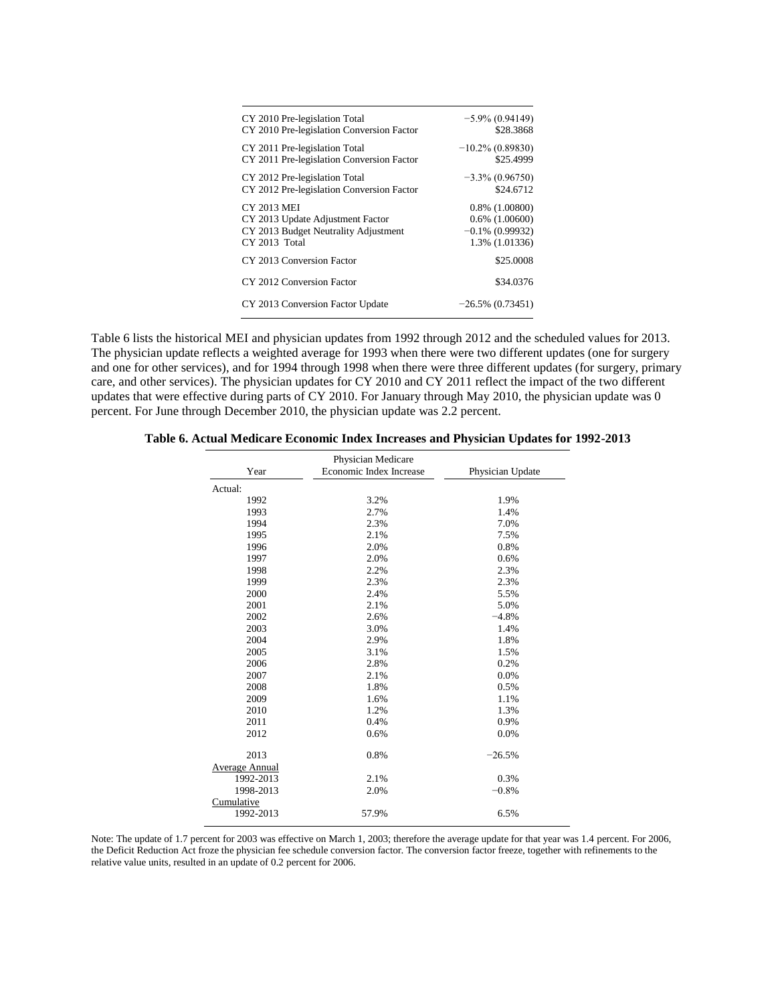| CY 2010 Pre-legislation Total             | $-5.9\% (0.94149)$  |
|-------------------------------------------|---------------------|
| CY 2010 Pre-legislation Conversion Factor | \$28.3868           |
| CY 2011 Pre-legislation Total             | $-10.2\%$ (0.89830) |
| CY 2011 Pre-legislation Conversion Factor | \$25.4999           |
| CY 2012 Pre-legislation Total             | $-3.3\% (0.96750)$  |
| CY 2012 Pre-legislation Conversion Factor | \$24,6712           |
| <b>CY 2013 MEI</b>                        | $0.8\%$ (1.00800)   |
| CY 2013 Update Adjustment Factor          | $0.6\%$ $(1.00600)$ |
| CY 2013 Budget Neutrality Adjustment      | $-0.1\%$ (0.99932)  |
| CY 2013 Total                             | 1.3% (1.01336)      |
| CY 2013 Conversion Factor                 | \$25,0008           |
| CY 2012 Conversion Factor                 | \$34.0376           |
| CY 2013 Conversion Factor Update          | $-26.5\%$ (0.73451) |

Table 6 lists the historical MEI and physician updates from 1992 through 2012 and the scheduled values for 2013. The physician update reflects a weighted average for 1993 when there were two different updates (one for surgery and one for other services), and for 1994 through 1998 when there were three different updates (for surgery, primary care, and other services). The physician updates for CY 2010 and CY 2011 reflect the impact of the two different updates that were effective during parts of CY 2010. For January through May 2010, the physician update was 0 percent. For June through December 2010, the physician update was 2.2 percent.

**Table 6. Actual Medicare Economic Index Increases and Physician Updates for 1992-2013** 

|                | Physician Medicare      |                  |
|----------------|-------------------------|------------------|
| Year           | Economic Index Increase | Physician Update |
| Actual:        |                         |                  |
| 1992           | 3.2%                    | 1.9%             |
| 1993           | 2.7%                    | 1.4%             |
| 1994           | 2.3%                    | 7.0%             |
| 1995           | 2.1%                    | 7.5%             |
| 1996           | 2.0%                    | 0.8%             |
| 1997           | 2.0%                    | 0.6%             |
| 1998           | 2.2%                    | 2.3%             |
| 1999           | 2.3%                    | 2.3%             |
| 2000           | 2.4%                    | 5.5%             |
| 2001           | 2.1%                    | 5.0%             |
| 2002           | 2.6%                    | $-4.8%$          |
| 2003           | 3.0%                    | 1.4%             |
| 2004           | 2.9%                    | 1.8%             |
| 2005           | 3.1%                    | 1.5%             |
| 2006           | 2.8%                    | 0.2%             |
| 2007           | 2.1%                    | 0.0%             |
| 2008           | 1.8%                    | 0.5%             |
| 2009           | 1.6%                    | 1.1%             |
| 2010           | 1.2%                    | 1.3%             |
| 2011           | 0.4%                    | 0.9%             |
| 2012           | 0.6%                    | 0.0%             |
| 2013           | 0.8%                    | $-26.5%$         |
| Average Annual |                         |                  |
| 1992-2013      | 2.1%                    | 0.3%             |
| 1998-2013      | 2.0%                    | $-0.8%$          |
| Cumulative     |                         |                  |
| 1992-2013      | 57.9%                   | 6.5%             |

Note: The update of 1.7 percent for 2003 was effective on March 1, 2003; therefore the average update for that year was 1.4 percent. For 2006, the Deficit Reduction Act froze the physician fee schedule conversion factor. The conversion factor freeze, together with refinements to the relative value units, resulted in an update of 0.2 percent for 2006.